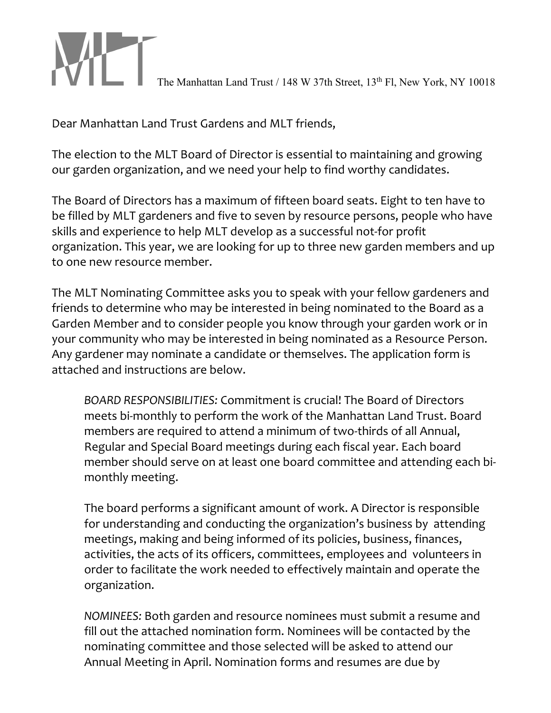The Manhattan Land Trust / 148 W 37th Street, 13th Fl, New York, NY 10018

Dear Manhattan Land Trust Gardens and MLT friends,

The election to the MLT Board of Director is essential to maintaining and growing our garden organization, and we need your help to find worthy candidates.

The Board of Directors has a maximum of fifteen board seats. Eight to ten have to be filled by MLT gardeners and five to seven by resource persons, people who have skills and experience to help MLT develop as a successful not-for profit organization. This year, we are looking for up to three new garden members and up to one new resource member.

The MLT Nominating Committee asks you to speak with your fellow gardeners and friends to determine who may be interested in being nominated to the Board as a Garden Member and to consider people you know through your garden work or in your community who may be interested in being nominated as a Resource Person. Any gardener may nominate a candidate or themselves. The application form is attached and instructions are below.

*BOARD RESPONSIBILITIES:* Commitment is crucial! The Board of Directors meets bi-monthly to perform the work of the Manhattan Land Trust. Board members are required to attend a minimum of two-thirds of all Annual, Regular and Special Board meetings during each fiscal year. Each board member should serve on at least one board committee and attending each bimonthly meeting.

The board performs a significant amount of work. A Director is responsible for understanding and conducting the organization's business by attending meetings, making and being informed of its policies, business, finances, activities, the acts of its officers, committees, employees and volunteers in order to facilitate the work needed to effectively maintain and operate the organization.

*NOMINEES:* Both garden and resource nominees must submit a resume and fill out the attached nomination form. Nominees will be contacted by the nominating committee and those selected will be asked to attend our Annual Meeting in April. Nomination forms and resumes are due by